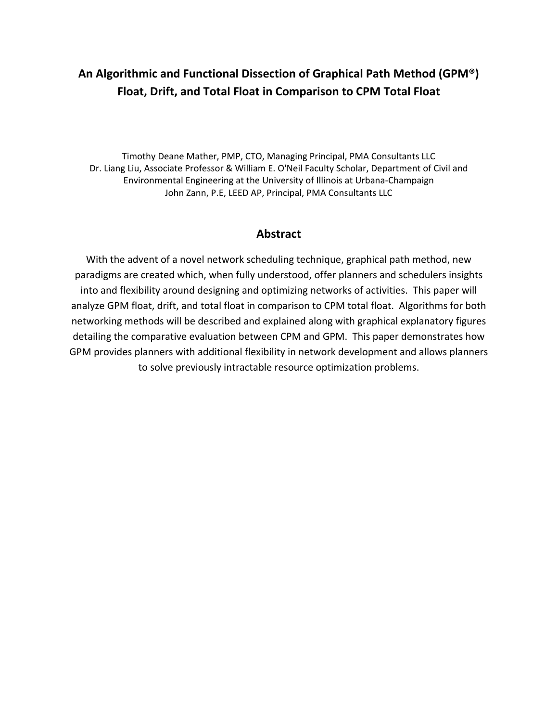# **An Algorithmic and Functional Dissection of Graphical Path Method (GPM®) Float, Drift, and Total Float in Comparison to CPM Total Float**

Timothy Deane Mather, PMP, CTO, Managing Principal, PMA Consultants LLC Dr. Liang Liu, Associate Professor & William E. O'Neil Faculty Scholar, Department of Civil and Environmental Engineering at the University of Illinois at Urbana‐Champaign John Zann, P.E, LEED AP, Principal, PMA Consultants LLC

## **Abstract**

With the advent of a novel network scheduling technique, graphical path method, new paradigms are created which, when fully understood, offer planners and schedulers insights into and flexibility around designing and optimizing networks of activities. This paper will analyze GPM float, drift, and total float in comparison to CPM total float. Algorithms for both networking methods will be described and explained along with graphical explanatory figures detailing the comparative evaluation between CPM and GPM. This paper demonstrates how GPM provides planners with additional flexibility in network development and allows planners to solve previously intractable resource optimization problems.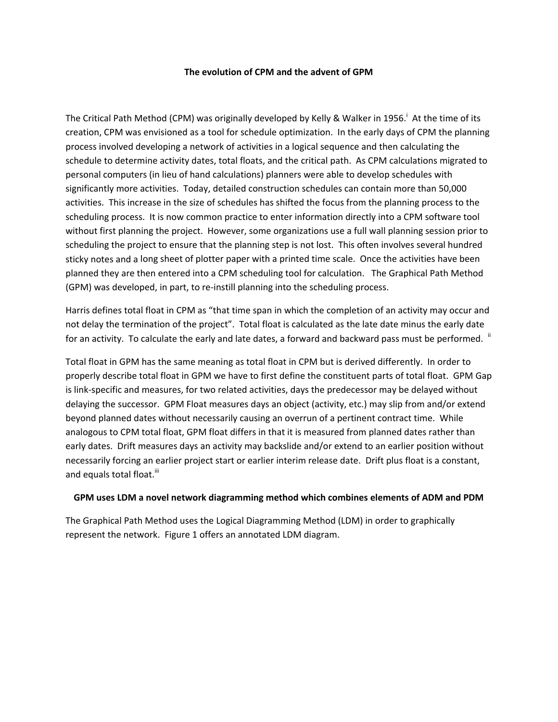#### **The evolution of CPM and the advent of GPM**

The Critical Path Method (CPM) was originally developed by Kelly & Walker in 1956.<sup>i</sup> At the time of its creation, CPM was envisioned as a tool for schedule optimization. In the early days of CPM the planning process involved developing a network of activities in a logical sequence and then calculating the schedule to determine activity dates, total floats, and the critical path. As CPM calculations migrated to personal computers (in lieu of hand calculations) planners were able to develop schedules with significantly more activities. Today, detailed construction schedules can contain more than 50,000 activities. This increase in the size of schedules has shifted the focus from the planning process to the scheduling process. It is now common practice to enter information directly into a CPM software tool without first planning the project. However, some organizations use a full wall planning session prior to scheduling the project to ensure that the planning step is not lost. This often involves several hundred sticky notes and a long sheet of plotter paper with a printed time scale. Once the activities have been planned they are then entered into a CPM scheduling tool for calculation. The Graphical Path Method (GPM) was developed, in part, to re‐instill planning into the scheduling process.

Harris defines total float in CPM as "that time span in which the completion of an activity may occur and not delay the termination of the project". Total float is calculated as the late date minus the early date for an activity. To calculate the early and late dates, a forward and backward pass must be performed. <sup>ii</sup>

Total float in GPM has the same meaning as total float in CPM but is derived differently. In order to properly describe total float in GPM we have to first define the constituent parts of total float. GPM Gap is link‐specific and measures, for two related activities, days the predecessor may be delayed without delaying the successor. GPM Float measures days an object (activity, etc.) may slip from and/or extend beyond planned dates without necessarily causing an overrun of a pertinent contract time. While analogous to CPM total float, GPM float differs in that it is measured from planned dates rather than early dates. Drift measures days an activity may backslide and/or extend to an earlier position without necessarily forcing an earlier project start or earlier interim release date. Drift plus float is a constant, and equals total float.<sup>iii</sup>

#### **GPM uses LDM a novel network diagramming method which combines elements of ADM and PDM**

The Graphical Path Method uses the Logical Diagramming Method (LDM) in order to graphically represent the network. Figure 1 offers an annotated LDM diagram.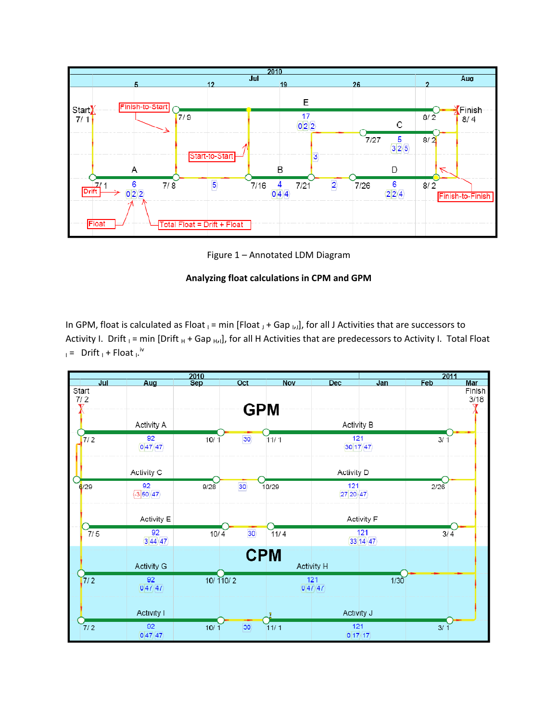

Figure 1 – Annotated LDM Diagram

## **Analyzing float calculations in CPM and GPM**

In GPM, float is calculated as Float  $_1$  = min [Float  $_J$  + Gap  $_{I,J}$ ], for all J Activities that are successors to Activity I. Drift  $_1$  = min [Drift  $_H$  + Gap  $_{HJI}$ ], for all H Activities that are predecessors to Activity I. Total Float  $I =$  Drift  $I +$  Float  $I$ .

| 2010          |                                           |            |                 |            | 2011                 |                   |              |            |
|---------------|-------------------------------------------|------------|-----------------|------------|----------------------|-------------------|--------------|------------|
| $J$ ul        | Aug                                       | <b>Sep</b> | Oct             | <b>Nov</b> | Dec                  | Jan               | <b>Feb</b>   | <b>Mar</b> |
| Start         |                                           |            |                 |            |                      |                   |              | Finish     |
| 7/2           |                                           |            |                 |            |                      |                   |              | 3/18       |
|               |                                           |            | <b>GPM</b>      |            |                      |                   |              |            |
|               |                                           |            |                 |            |                      |                   |              |            |
|               | <b>Activity A</b>                         |            |                 |            | <b>Activity B</b>    |                   |              |            |
|               |                                           |            |                 |            |                      |                   |              |            |
| 7/2           | 92                                        | 10/1       | 30              | 11/1       | 121                  |                   | 3/1          |            |
|               | $\langle 0 47\rangle$ 47                  |            |                 |            |                      | $30 17\rangle$ 47 |              |            |
|               |                                           |            |                 |            |                      |                   |              |            |
|               |                                           |            |                 |            |                      |                   |              |            |
|               | Activity C                                |            |                 |            | Activity D           |                   |              |            |
|               |                                           |            |                 |            |                      |                   |              |            |
| 6/29          | 92                                        | 9/28       | 30              | 10/29      | 121                  |                   | 2/26         |            |
|               | $-350/47$                                 |            |                 |            | 27 20 47             |                   |              |            |
|               |                                           |            |                 |            |                      |                   |              |            |
|               |                                           |            |                 |            |                      |                   |              |            |
|               | Activity E                                |            |                 |            |                      | Activity F        |              |            |
| 7/5           | 92                                        | 10/4       | 30              | 11/4       |                      | 121               | $3/\sqrt{4}$ |            |
|               | $3 44\rangle$ 47                          |            |                 |            |                      | 33 14 47          |              |            |
|               |                                           |            |                 |            |                      |                   |              |            |
|               |                                           |            | <b>CPM</b>      |            |                      |                   |              |            |
|               | <b>Activity G</b>                         |            |                 |            | <b>Activity H</b>    |                   |              |            |
|               |                                           |            |                 |            |                      |                   |              |            |
| $\frac{1}{2}$ | 92                                        |            | 10/110/2        |            | 121                  | 1/30              |              |            |
|               | $\langle 0 47\rangle$ $\langle 47\rangle$ |            |                 |            | 047/47               |                   |              |            |
|               |                                           |            |                 |            |                      |                   |              |            |
|               |                                           |            |                 |            |                      |                   |              |            |
|               | <b>Activity I</b>                         |            |                 |            | Activity J           |                   |              |            |
|               |                                           |            |                 |            |                      |                   |              |            |
| 7/2           | 92                                        | 10/1       | 30 <sub>o</sub> | 11/1       | 121                  |                   | 3/           |            |
|               | 047/47                                    |            |                 |            | $0 17\rangle$ $(17)$ |                   |              |            |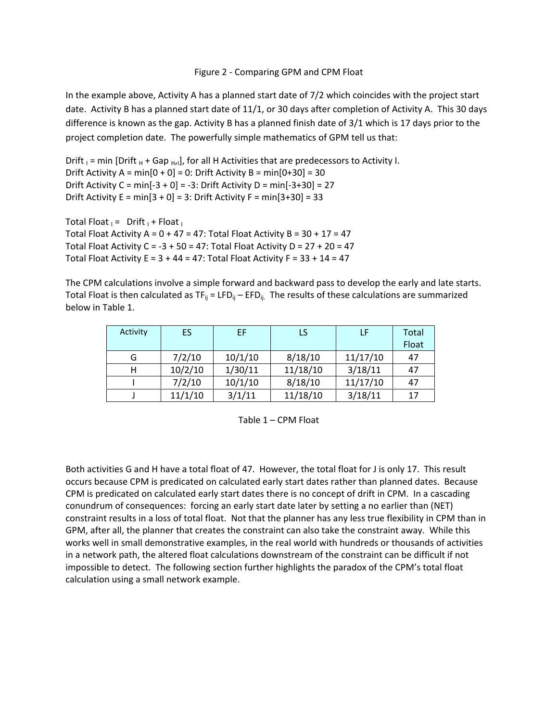#### Figure 2 ‐ Comparing GPM and CPM Float

In the example above, Activity A has a planned start date of 7/2 which coincides with the project start date. Activity B has a planned start date of 11/1, or 30 days after completion of Activity A. This 30 days difference is known as the gap. Activity B has a planned finish date of 3/1 which is 17 days prior to the project completion date. The powerfully simple mathematics of GPM tell us that:

Drift  $I = min$  [Drift  $H + Gap$   $H$ ], for all H Activities that are predecessors to Activity I. Drift Activity A =  $min[0 + 0] = 0$ : Drift Activity B =  $min[0 + 30] = 30$ Drift Activity  $C = min[-3 + 0] = -3$ : Drift Activity  $D = min[-3 + 30] = 27$ Drift Activity  $E = min[3 + 0] = 3$ : Drift Activity  $F = min[3 + 30] = 33$ 

Total Float  $I =$  Drift  $I +$  Float  $I$ Total Float Activity A =  $0 + 47 = 47$ : Total Float Activity B =  $30 + 17 = 47$ Total Float Activity C =  $-3 + 50 = 47$ : Total Float Activity D = 27 + 20 = 47 Total Float Activity E =  $3 + 44 = 47$ : Total Float Activity F =  $33 + 14 = 47$ 

The CPM calculations involve a simple forward and backward pass to develop the early and late starts. Total Float is then calculated as  $TF_{ij} = LFD_{ij} - EFD_{ij}$ . The results of these calculations are summarized below in Table 1.

| Activity | ES.     | EF      | LS       | LF       | Total<br>Float |
|----------|---------|---------|----------|----------|----------------|
| G        | 7/2/10  | 10/1/10 | 8/18/10  | 11/17/10 | 47             |
| н        | 10/2/10 | 1/30/11 | 11/18/10 | 3/18/11  | 47             |
|          | 7/2/10  | 10/1/10 | 8/18/10  | 11/17/10 | 47             |
|          | 11/1/10 | 3/1/11  | 11/18/10 | 3/18/11  | 17             |

Table 1 – CPM Float

Both activities G and H have a total float of 47. However, the total float for J is only 17. This result occurs because CPM is predicated on calculated early start dates rather than planned dates. Because CPM is predicated on calculated early start dates there is no concept of drift in CPM. In a cascading conundrum of consequences: forcing an early start date later by setting a no earlier than (NET) constraint results in a loss of total float. Not that the planner has any less true flexibility in CPM than in GPM, after all, the planner that creates the constraint can also take the constraint away. While this works well in small demonstrative examples, in the real world with hundreds or thousands of activities in a network path, the altered float calculations downstream of the constraint can be difficult if not impossible to detect. The following section further highlights the paradox of the CPM's total float calculation using a small network example.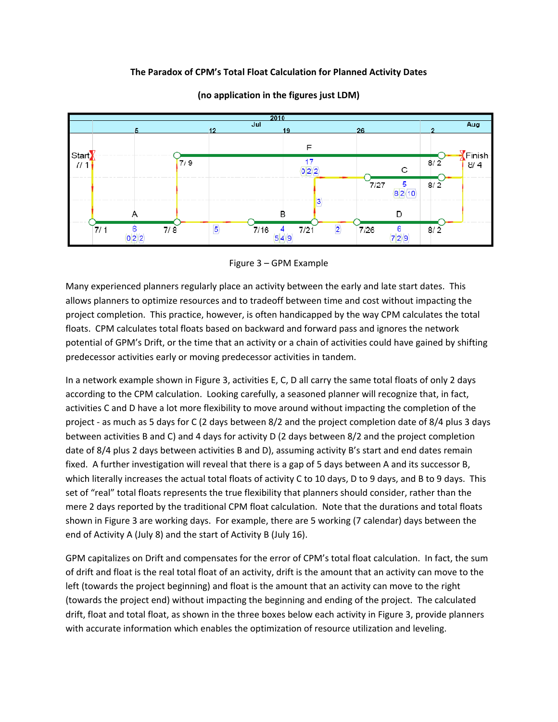### **The Paradox of CPM's Total Float Calculation for Planned Activity Dates**



**(no application in the figures just LDM)**

#### Figure 3 – GPM Example

Many experienced planners regularly place an activity between the early and late start dates. This allows planners to optimize resources and to tradeoff between time and cost without impacting the project completion. This practice, however, is often handicapped by the way CPM calculates the total floats. CPM calculates total floats based on backward and forward pass and ignores the network potential of GPM's Drift, or the time that an activity or a chain of activities could have gained by shifting predecessor activities early or moving predecessor activities in tandem.

In a network example shown in Figure 3, activities E, C, D all carry the same total floats of only 2 days according to the CPM calculation. Looking carefully, a seasoned planner will recognize that, in fact, activities C and D have a lot more flexibility to move around without impacting the completion of the project ‐ as much as 5 days for C (2 days between 8/2 and the project completion date of 8/4 plus 3 days between activities B and C) and 4 days for activity D (2 days between 8/2 and the project completion date of 8/4 plus 2 days between activities B and D), assuming activity B's start and end dates remain fixed. A further investigation will reveal that there is a gap of 5 days between A and its successor B, which literally increases the actual total floats of activity C to 10 days, D to 9 days, and B to 9 days. This set of "real" total floats represents the true flexibility that planners should consider, rather than the mere 2 days reported by the traditional CPM float calculation. Note that the durations and total floats shown in Figure 3 are working days. For example, there are 5 working (7 calendar) days between the end of Activity A (July 8) and the start of Activity B (July 16).

GPM capitalizes on Drift and compensates for the error of CPM's total float calculation. In fact, the sum of drift and float is the real total float of an activity, drift is the amount that an activity can move to the left (towards the project beginning) and float is the amount that an activity can move to the right (towards the project end) without impacting the beginning and ending of the project. The calculated drift, float and total float, as shown in the three boxes below each activity in Figure 3, provide planners with accurate information which enables the optimization of resource utilization and leveling.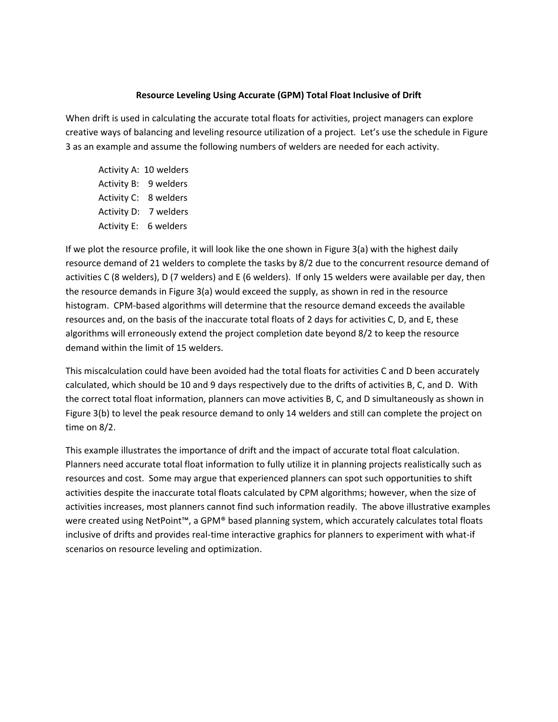#### **Resource Leveling Using Accurate (GPM) Total Float Inclusive of Drift**

When drift is used in calculating the accurate total floats for activities, project managers can explore creative ways of balancing and leveling resource utilization of a project. Let's use the schedule in Figure 3 as an example and assume the following numbers of welders are needed for each activity.

Activity A: 10 welders Activity B: 9 welders Activity C: 8 welders Activity D: 7 welders Activity E: 6 welders

If we plot the resource profile, it will look like the one shown in Figure 3(a) with the highest daily resource demand of 21 welders to complete the tasks by 8/2 due to the concurrent resource demand of activities C (8 welders), D (7 welders) and E (6 welders). If only 15 welders were available per day, then the resource demands in Figure 3(a) would exceed the supply, as shown in red in the resource histogram. CPM‐based algorithms will determine that the resource demand exceeds the available resources and, on the basis of the inaccurate total floats of 2 days for activities C, D, and E, these algorithms will erroneously extend the project completion date beyond 8/2 to keep the resource demand within the limit of 15 welders.

This miscalculation could have been avoided had the total floats for activities C and D been accurately calculated, which should be 10 and 9 days respectively due to the drifts of activities B, C, and D. With the correct total float information, planners can move activities B, C, and D simultaneously as shown in Figure 3(b) to level the peak resource demand to only 14 welders and still can complete the project on time on 8/2.

This example illustrates the importance of drift and the impact of accurate total float calculation. Planners need accurate total float information to fully utilize it in planning projects realistically such as resources and cost. Some may argue that experienced planners can spot such opportunities to shift activities despite the inaccurate total floats calculated by CPM algorithms; however, when the size of activities increases, most planners cannot find such information readily. The above illustrative examples were created using NetPoint™, a GPM® based planning system, which accurately calculates total floats inclusive of drifts and provides real-time interactive graphics for planners to experiment with what-if scenarios on resource leveling and optimization.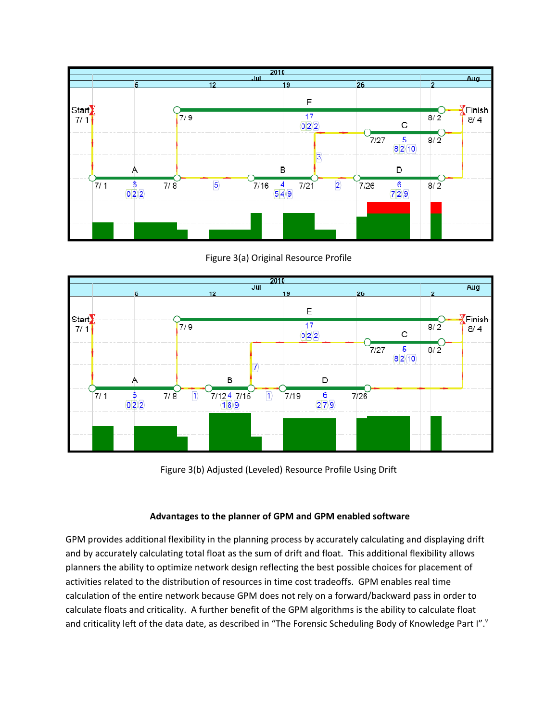

Figure 3(a) Original Resource Profile



Figure 3(b) Adjusted (Leveled) Resource Profile Using Drift

## **Advantages to the planner of GPM and GPM enabled software**

GPM provides additional flexibility in the planning process by accurately calculating and displaying drift and by accurately calculating total float as the sum of drift and float. This additional flexibility allows planners the ability to optimize network design reflecting the best possible choices for placement of activities related to the distribution of resources in time cost tradeoffs. GPM enables real time calculation of the entire network because GPM does not rely on a forward/backward pass in order to calculate floats and criticality. A further benefit of the GPM algorithms is the ability to calculate float and criticality left of the data date, as described in "The Forensic Scheduling Body of Knowledge Part I"."